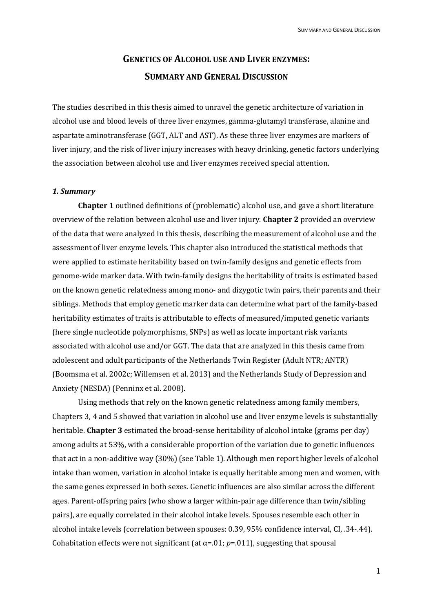# **GENETICS OF ALCOHOL USE AND LIVER ENZYMES: SUMMARY AND GENERAL DISCUSSION**

The studies described in this thesis aimed to unravel the genetic architecture of variation in alcohol use and blood levels of three liver enzymes, gamma-glutamyl transferase, alanine and aspartate aminotransferase (GGT, ALT and AST). As these three liver enzymes are markers of liver injury, and the risk of liver injury increases with heavy drinking, genetic factors underlying the association between alcohol use and liver enzymes received special attention.

#### *1. Summary*

**Chapter 1** outlined definitions of (problematic) alcohol use, and gave a short literature overview of the relation between alcohol use and liver injury. **Chapter 2** provided an overview of the data that were analyzed in this thesis, describing the measurement of alcohol use and the assessment of liver enzyme levels. This chapter also introduced the statistical methods that were applied to estimate heritability based on twin-family designs and genetic effects from genome-wide marker data. With twin-family designs the heritability of traits is estimated based on the known genetic relatedness among mono- and dizygotic twin pairs, their parents and their siblings. Methods that employ genetic marker data can determine what part of the family-based heritability estimates of traits is attributable to effects of measured/imputed genetic variants (here single nucleotide polymorphisms, SNPs) as well as locate important risk variants associated with alcohol use and/or GGT. The data that are analyzed in this thesis came from adolescent and adult participants of the Netherlands Twin Register (Adult NTR; ANTR) (Boomsma et al. 2002c; Willemsen et al. 2013) and the Netherlands Study of Depression and Anxiety (NESDA) (Penninx et al. 2008).

Using methods that rely on the known genetic relatedness among family members, Chapters 3, 4 and 5 showed that variation in alcohol use and liver enzyme levels is substantially heritable. **Chapter 3** estimated the broad-sense heritability of alcohol intake (grams per day) among adults at 53%, with a considerable proportion of the variation due to genetic influences that act in a non-additive way (30%) (see Table 1). Although men report higher levels of alcohol intake than women, variation in alcohol intake is equally heritable among men and women, with the same genes expressed in both sexes. Genetic influences are also similar across the different ages. Parent-offspring pairs (who show a larger within-pair age difference than twin/sibling pairs), are equally correlated in their alcohol intake levels. Spouses resemble each other in alcohol intake levels (correlation between spouses: 0.39, 95% confidence interval, CI, .34-.44). Cohabitation effects were not significant (at  $\alpha$ =.01;  $p$ =.011), suggesting that spousal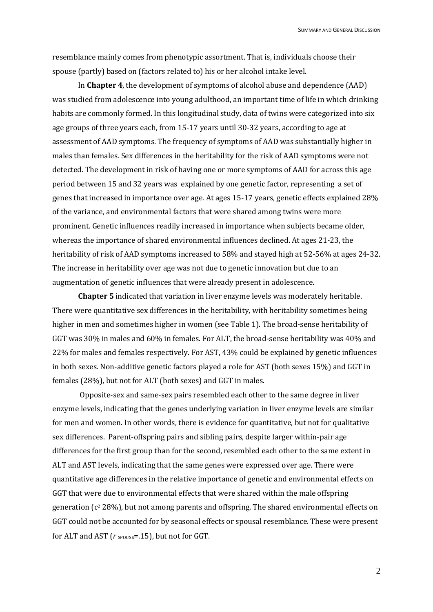resemblance mainly comes from phenotypic assortment. That is, individuals choose their spouse (partly) based on (factors related to) his or her alcohol intake level.

In **Chapter 4**, the development of symptoms of alcohol abuse and dependence (AAD) was studied from adolescence into young adulthood, an important time of life in which drinking habits are commonly formed. In this longitudinal study, data of twins were categorized into six age groups of three years each, from 15-17 years until 30-32 years, according to age at assessment of AAD symptoms. The frequency of symptoms of AAD was substantially higher in males than females. Sex differences in the heritability for the risk of AAD symptoms were not detected. The development in risk of having one or more symptoms of AAD for across this age period between 15 and 32 years was explained by one genetic factor, representing a set of genes that increased in importance over age. At ages 15-17 years, genetic effects explained 28% of the variance, and environmental factors that were shared among twins were more prominent. Genetic influences readily increased in importance when subjects became older, whereas the importance of shared environmental influences declined. At ages 21-23, the heritability of risk of AAD symptoms increased to 58% and stayed high at 52-56% at ages 24-32. The increase in heritability over age was not due to genetic innovation but due to an augmentation of genetic influences that were already present in adolescence.

**Chapter 5** indicated that variation in liver enzyme levels was moderately heritable. There were quantitative sex differences in the heritability, with heritability sometimes being higher in men and sometimes higher in women (see Table 1). The broad-sense heritability of GGT was 30% in males and 60% in females. For ALT, the broad-sense heritability was 40% and 22% for males and females respectively. For AST, 43% could be explained by genetic influences in both sexes. Non-additive genetic factors played a role for AST (both sexes 15%) and GGT in females (28%), but not for ALT (both sexes) and GGT in males.

Opposite-sex and same-sex pairs resembled each other to the same degree in liver enzyme levels, indicating that the genes underlying variation in liver enzyme levels are similar for men and women. In other words, there is evidence for quantitative, but not for qualitative sex differences. Parent-offspring pairs and sibling pairs, despite larger within-pair age differences for the first group than for the second, resembled each other to the same extent in ALT and AST levels, indicating that the same genes were expressed over age. There were quantitative age differences in the relative importance of genetic and environmental effects on GGT that were due to environmental effects that were shared within the male offspring generation ( $c^2$  28%), but not among parents and offspring. The shared environmental effects on GGT could not be accounted for by seasonal effects or spousal resemblance. These were present for ALT and AST ( $r$   $_{\text{SPOUSE}}$ =.15), but not for GGT.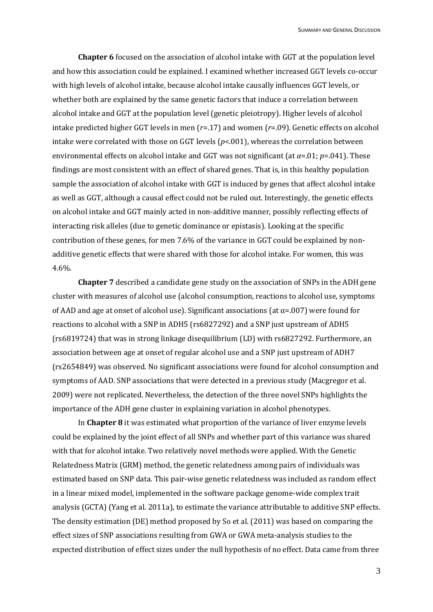**Chapter 6** focused on the association of alcohol intake with GGT at the population level and how this association could be explained. I examined whether increased GGT levels co-occur with high levels of alcohol intake, because alcohol intake causally influences GGT levels, or whether both are explained by the same genetic factors that induce a correlation between alcohol intake and GGT at the population level (genetic pleiotropy). Higher levels of alcohol intake predicted higher GGT levels in men (*r*=.17) and women (*r*=.09). Genetic effects on alcohol intake were correlated with those on GGT levels (*p*<.001), whereas the correlation between environmental effects on alcohol intake and GGT was not significant (at *α*=.01; *p*=.041). These findings are most consistent with an effect of shared genes. That is, in this healthy population sample the association of alcohol intake with GGT is induced by genes that affect alcohol intake as well as GGT, although a causal effect could not be ruled out. Interestingly, the genetic effects on alcohol intake and GGT mainly acted in non-additive manner, possibly reflecting effects of interacting risk alleles (due to genetic dominance or epistasis). Looking at the specific contribution of these genes, for men 7.6% of the variance in GGT could be explained by nonadditive genetic effects that were shared with those for alcohol intake. For women, this was 4.6%.

**Chapter 7** described a candidate gene study on the association of SNPs in the ADH gene cluster with measures of alcohol use (alcohol consumption, reactions to alcohol use, symptoms of AAD and age at onset of alcohol use). Significant associations (at  $\alpha$ =.007) were found for reactions to alcohol with a SNP in ADH5 (rs6827292) and a SNP just upstream of ADH5 (rs6819724) that was in strong linkage disequilibrium (LD) with rs6827292. Furthermore, an association between age at onset of regular alcohol use and a SNP just upstream of ADH7 (rs2654849) was observed. No significant associations were found for alcohol consumption and symptoms of AAD. SNP associations that were detected in a previous study (Macgregor et al. 2009) were not replicated. Nevertheless, the detection of the three novel SNPs highlights the importance of the ADH gene cluster in explaining variation in alcohol phenotypes.

In **Chapter 8** it was estimated what proportion of the variance of liver enzyme levels could be explained by the joint effect of all SNPs and whether part of this variance was shared with that for alcohol intake. Two relatively novel methods were applied. With the Genetic Relatedness Matrix (GRM) method, the genetic relatedness among pairs of individuals was estimated based on SNP data. This pair-wise genetic relatedness was included as random effect in a linear mixed model, implemented in the software package genome-wide complex trait analysis (GCTA) (Yang et al. 2011a), to estimate the variance attributable to additive SNP effects. The density estimation (DE) method proposed by So et al. (2011) was based on comparing the effect sizes of SNP associations resulting from GWA or GWA meta-analysis studies to the expected distribution of effect sizes under the null hypothesis of no effect. Data came from three

3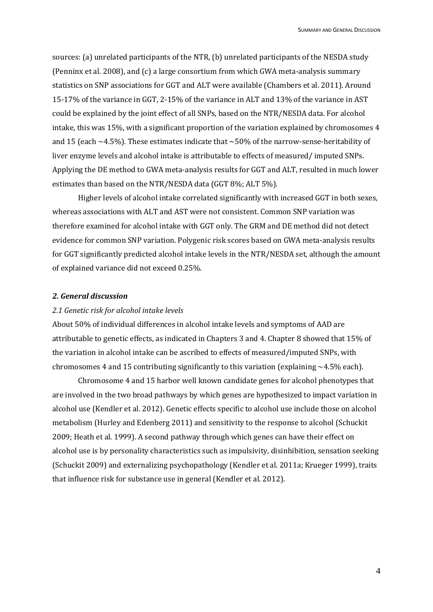sources: (a) unrelated participants of the NTR, (b) unrelated participants of the NESDA study (Penninx et al. 2008), and (c) a large consortium from which GWA meta-analysis summary statistics on SNP associations for GGT and ALT were available (Chambers et al. 2011). Around 15-17% of the variance in GGT, 2-15% of the variance in ALT and 13% of the variance in AST could be explained by the joint effect of all SNPs, based on the NTR/NESDA data. For alcohol intake, this was 15%, with a significant proportion of the variation explained by chromosomes 4 and 15 (each  $\sim$  4.5%). These estimates indicate that  $\sim$  50% of the narrow-sense-heritability of liver enzyme levels and alcohol intake is attributable to effects of measured/ imputed SNPs. Applying the DE method to GWA meta-analysis results for GGT and ALT, resulted in much lower estimates than based on the NTR/NESDA data (GGT 8%; ALT 5%).

Higher levels of alcohol intake correlated significantly with increased GGT in both sexes, whereas associations with ALT and AST were not consistent. Common SNP variation was therefore examined for alcohol intake with GGT only. The GRM and DE method did not detect evidence for common SNP variation. Polygenic risk scores based on GWA meta-analysis results for GGT significantly predicted alcohol intake levels in the NTR/NESDA set, although the amount of explained variance did not exceed 0.25%.

#### *2. General discussion*

## *2.1 Genetic risk for alcohol intake levels*

About 50% of individual differences in alcohol intake levels and symptoms of AAD are attributable to genetic effects, as indicated in Chapters 3 and 4. Chapter 8 showed that 15% of the variation in alcohol intake can be ascribed to effects of measured/imputed SNPs, with chromosomes 4 and 15 contributing significantly to this variation (explaining  $\sim$  4.5% each).

Chromosome 4 and 15 harbor well known candidate genes for alcohol phenotypes that are involved in the two broad pathways by which genes are hypothesized to impact variation in alcohol use (Kendler et al. 2012). Genetic effects specific to alcohol use include those on alcohol metabolism (Hurley and Edenberg 2011) and sensitivity to the response to alcohol (Schuckit 2009; Heath et al. 1999). A second pathway through which genes can have their effect on alcohol use is by personality characteristics such as impulsivity, disinhibition, sensation seeking (Schuckit 2009) and externalizing psychopathology (Kendler et al. 2011a; Krueger 1999), traits that influence risk for substance use in general (Kendler et al. 2012).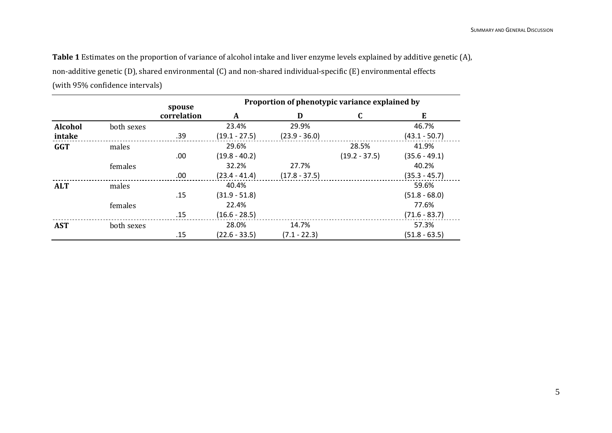**Table 1** Estimates on the proportion of variance of alcohol intake and liver enzyme levels explained by additive genetic (A), non-additive genetic (D), shared environmental (C) and non-shared individual-specific (E) environmental effects (with 95% confidence intervals)

|                |            | spouse<br>correlation | Proportion of phenotypic variance explained by |                 |                 |                 |
|----------------|------------|-----------------------|------------------------------------------------|-----------------|-----------------|-----------------|
|                |            |                       | A                                              | D               | C               | E               |
| <b>Alcohol</b> | both sexes |                       | 23.4%                                          | 29.9%           |                 | 46.7%           |
| intake         |            | .39                   | $(19.1 - 27.5)$                                | $(23.9 - 36.0)$ |                 | $(43.1 - 50.7)$ |
| <b>GGT</b>     | males      |                       | 29.6%                                          |                 | 28.5%           | 41.9%           |
|                |            | .00                   | $(19.8 - 40.2)$                                |                 | $(19.2 - 37.5)$ | $(35.6 - 49.1)$ |
|                | females    |                       | 32.2%                                          | 27.7%           |                 | 40.2%           |
|                |            | .00                   | $(23.4 - 41.4)$                                | $(17.8 - 37.5)$ |                 | $(35.3 - 45.7)$ |
| <b>ALT</b>     | males      |                       | 40.4%                                          |                 |                 | 59.6%           |
|                |            | .15                   | $(31.9 - 51.8)$                                |                 |                 | $(51.8 - 68.0)$ |
|                | females    |                       | 22.4%                                          |                 |                 | 77.6%           |
|                |            | .15                   | $(16.6 - 28.5)$                                |                 |                 | $(71.6 - 83.7)$ |
| <b>AST</b>     | both sexes |                       | 28.0%                                          | 14.7%           |                 | 57.3%           |
|                |            | .15                   | $(22.6 - 33.5)$                                | $(7.1 - 22.3)$  |                 | $(51.8 - 63.5)$ |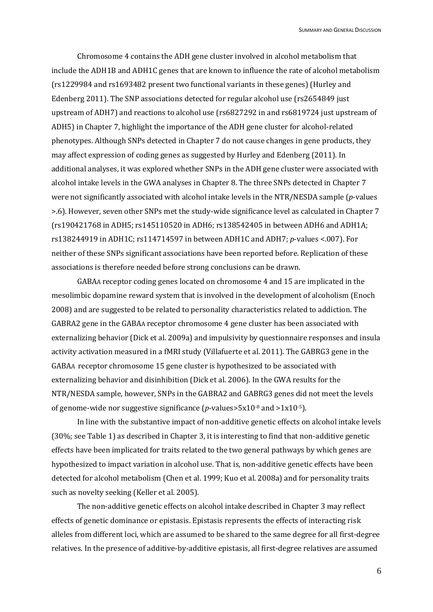Chromosome 4 contains the ADH gene cluster involved in alcohol metabolism that include the ADH1B and ADH1C genes that are known to influence the rate of alcohol metabolism (rs1229984 and rs1693482 present two functional variants in these genes) (Hurley and Edenberg 2011). The SNP associations detected for regular alcohol use (rs2654849 just upstream of ADH7) and reactions to alcohol use (rs6827292 in and rs6819724 just upstream of ADH5) in Chapter 7, highlight the importance of the ADH gene cluster for alcohol-related phenotypes. Although SNPs detected in Chapter 7 do not cause changes in gene products, they may affect expression of coding genes as suggested by Hurley and Edenberg (2011). In additional analyses, it was explored whether SNPs in the ADH gene cluster were associated with alcohol intake levels in the GWA analyses in Chapter 8. The three SNPs detected in Chapter 7 were not significantly associated with alcohol intake levels in the NTR/NESDA sample (*p*-values >.6). However, seven other SNPs met the study-wide significance level as calculated in Chapter 7 (rs190421768 in ADH5; rs145110520 in ADH6; rs138542405 in between ADH6 and ADH1A; rs138244919 in ADH1C; rs114714597 in between ADH1C and ADH7; *p*-values <.007). For neither of these SNPs significant associations have been reported before. Replication of these associations is therefore needed before strong conclusions can be drawn.

GABAA receptor coding genes located on chromosome 4 and 15 are implicated in the mesolimbic dopamine reward system that is involved in the development of alcoholism (Enoch 2008) and are suggested to be related to personality characteristics related to addiction. The GABRA2 gene in the GABAA receptor chromosome 4 gene cluster has been associated with externalizing behavior (Dick et al. 2009a) and impulsivity by questionnaire responses and insula activity activation measured in a fMRI study (Villafuerte et al. 2011). The GABRG3 gene in the GABAA receptor chromosome 15 gene cluster is hypothesized to be associated with externalizing behavior and disinhibition (Dick et al. 2006). In the GWA results for the NTR/NESDA sample, however, SNPs in the GABRA2 and GABRG3 genes did not meet the levels of genome-wide nor suggestive significance (*p*-values>5x10-8 and >1x10-5).

In line with the substantive impact of non-additive genetic effects on alcohol intake levels (30%; see Table 1) as described in Chapter 3, it is interesting to find that non-additive genetic effects have been implicated for traits related to the two general pathways by which genes are hypothesized to impact variation in alcohol use. That is, non-additive genetic effects have been detected for alcohol metabolism (Chen et al. 1999; Kuo et al. 2008a) and for personality traits such as novelty seeking (Keller et al. 2005).

The non-additive genetic effects on alcohol intake described in Chapter 3 may reflect effects of genetic dominance or epistasis. Epistasis represents the effects of interacting risk alleles from different loci, which are assumed to be shared to the same degree for all first-degree relatives. In the presence of additive-by-additive epistasis, all first-degree relatives are assumed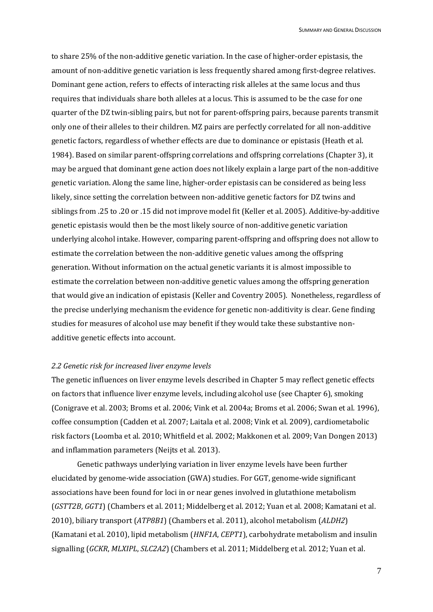to share 25% of the non-additive genetic variation. In the case of higher-order epistasis, the amount of non-additive genetic variation is less frequently shared among first-degree relatives. Dominant gene action, refers to effects of interacting risk alleles at the same locus and thus requires that individuals share both alleles at a locus. This is assumed to be the case for one quarter of the DZ twin-sibling pairs, but not for parent-offspring pairs, because parents transmit only one of their alleles to their children. MZ pairs are perfectly correlated for all non-additive genetic factors, regardless of whether effects are due to dominance or epistasis (Heath et al. 1984). Based on similar parent-offspring correlations and offspring correlations (Chapter 3), it may be argued that dominant gene action does not likely explain a large part of the non-additive genetic variation. Along the same line, higher-order epistasis can be considered as being less likely, since setting the correlation between non-additive genetic factors for DZ twins and siblings from .25 to .20 or .15 did not improve model fit (Keller et al. 2005). Additive-by-additive genetic epistasis would then be the most likely source of non-additive genetic variation underlying alcohol intake. However, comparing parent-offspring and offspring does not allow to estimate the correlation between the non-additive genetic values among the offspring generation. Without information on the actual genetic variants it is almost impossible to estimate the correlation between non-additive genetic values among the offspring generation that would give an indication of epistasis (Keller and Coventry 2005). Nonetheless, regardless of the precise underlying mechanism the evidence for genetic non-additivity is clear. Gene finding studies for measures of alcohol use may benefit if they would take these substantive nonadditive genetic effects into account.

## *2.2 Genetic risk for increased liver enzyme levels*

The genetic influences on liver enzyme levels described in Chapter 5 may reflect genetic effects on factors that influence liver enzyme levels, including alcohol use (see Chapter 6), smoking (Conigrave et al. 2003; Broms et al. 2006; Vink et al. 2004a; Broms et al. 2006; Swan et al. 1996), coffee consumption (Cadden et al. 2007; Laitala et al. 2008; Vink et al. 2009), cardiometabolic risk factors (Loomba et al. 2010; Whitfield et al. 2002; Makkonen et al. 2009; Van Dongen 2013) and inflammation parameters (Neijts et al. 2013).

Genetic pathways underlying variation in liver enzyme levels have been further elucidated by genome-wide association (GWA) studies. For GGT, genome-wide significant associations have been found for loci in or near genes involved in glutathione metabolism (*GSTT2B*, *GGT1*) (Chambers et al. 2011; Middelberg et al. 2012; Yuan et al. 2008; Kamatani et al. 2010), biliary transport (*ATP8B1*) (Chambers et al. 2011), alcohol metabolism (*ALDH2*) (Kamatani et al. 2010), lipid metabolism (*HNF1A*, *CEPT1*), carbohydrate metabolism and insulin signalling (*GCKR*, *MLXIPL*, *SLC2A2*) (Chambers et al. 2011; Middelberg et al. 2012; Yuan et al.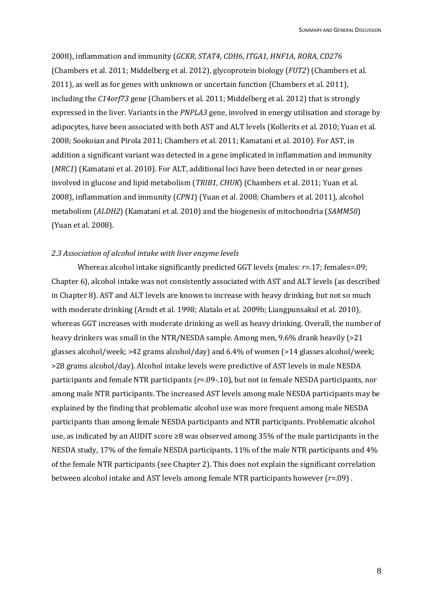2008), inflammation and immunity (*GCKR*, *STAT4*, *CDH6*, *ITGA1*, *HNF1A*, *RORA*, *CD276* (Chambers et al. 2011; Middelberg et al. 2012), glycoprotein biology (*FUT2*) (Chambers et al. 2011), as well as for genes with unknown or uncertain function (Chambers et al. 2011), including the *C14orf73* gene (Chambers et al. 2011; Middelberg et al. 2012) that is strongly expressed in the liver. Variants in the *PNPLA3* gene, involved in energy utilisation and storage by adipocytes, have been associated with both AST and ALT levels (Kollerits et al. 2010; Yuan et al. 2008; Sookoian and Pirola 2011; Chambers et al. 2011; Kamatani et al. 2010). For AST, in addition a significant variant was detected in a gene implicated in inflammation and immunity (*MRC1*) (Kamatani et al. 2010). For ALT, additional loci have been detected in or near genes involved in glucose and lipid metabolism (*TRIB1*, *CHUK*) (Chambers et al. 2011; Yuan et al. 2008), inflammation and immunity (*CPN1*) (Yuan et al. 2008; Chambers et al. 2011), alcohol metabolism (*ALDH2*) (Kamatani et al. 2010) and the biogenesis of mitochondria (*SAMM50*) (Yuan et al. 2008).

# *2.3 Association of alcohol intake with liver enzyme levels*

Whereas alcohol intake significantly predicted GGT levels (males: *r*=.17; females=.09; Chapter 6), alcohol intake was not consistently associated with AST and ALT levels (as described in Chapter 8). AST and ALT levels are known to increase with heavy drinking, but not so much with moderate drinking (Arndt et al. 1998; Alatalo et al. 2009b; Liangpunsakul et al. 2010), whereas GGT increases with moderate drinking as well as heavy drinking. Overall, the number of heavy drinkers was small in the NTR/NESDA sample. Among men, 9.6% drank heavily (>21 glasses alcohol/week; >42 grams alcohol/day) and 6.4% of women (>14 glasses alcohol/week; >28 grams alcohol/day). Alcohol intake levels were predictive of AST levels in male NESDA participants and female NTR participants (*r*=.09-.10), but not in female NESDA participants, nor among male NTR participants. The increased AST levels among male NESDA participants may be explained by the finding that problematic alcohol use was more frequent among male NESDA participants than among female NESDA participants and NTR participants. Problematic alcohol use, as indicated by an AUDIT score  $\geq 8$  was observed among 35% of the male participants in the NESDA study, 17% of the female NESDA participants, 11% of the male NTR participants and 4% of the female NTR participants (see Chapter 2). This does not explain the significant correlation between alcohol intake and AST levels among female NTR participants however (*r*=.09) .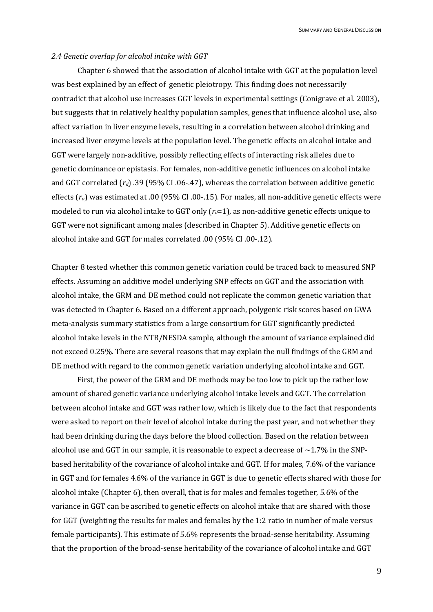#### *2.4 Genetic overlap for alcohol intake with GGT*

Chapter 6 showed that the association of alcohol intake with GGT at the population level was best explained by an effect of genetic pleiotropy. This finding does not necessarily contradict that alcohol use increases GGT levels in experimental settings (Conigrave et al. 2003), but suggests that in relatively healthy population samples, genes that influence alcohol use, also affect variation in liver enzyme levels, resulting in a correlation between alcohol drinking and increased liver enzyme levels at the population level. The genetic effects on alcohol intake and GGT were largely non-additive, possibly reflecting effects of interacting risk alleles due to genetic dominance or epistasis. For females, non-additive genetic influences on alcohol intake and GGT correlated (*rd*) .39 (95% CI .06-.47), whereas the correlation between additive genetic effects (*ra*) was estimated at .00 (95% CI .00-.15). For males, all non-additive genetic effects were modeled to run via alcohol intake to GGT only ( $r<sub>d</sub>=1$ ), as non-additive genetic effects unique to GGT were not significant among males (described in Chapter 5). Additive genetic effects on alcohol intake and GGT for males correlated .00 (95% CI .00-.12).

Chapter 8 tested whether this common genetic variation could be traced back to measured SNP effects. Assuming an additive model underlying SNP effects on GGT and the association with alcohol intake, the GRM and DE method could not replicate the common genetic variation that was detected in Chapter 6. Based on a different approach, polygenic risk scores based on GWA meta-analysis summary statistics from a large consortium for GGT significantly predicted alcohol intake levels in the NTR/NESDA sample, although the amount of variance explained did not exceed 0.25%. There are several reasons that may explain the null findings of the GRM and DE method with regard to the common genetic variation underlying alcohol intake and GGT.

First, the power of the GRM and DE methods may be too low to pick up the rather low amount of shared genetic variance underlying alcohol intake levels and GGT. The correlation between alcohol intake and GGT was rather low, which is likely due to the fact that respondents were asked to report on their level of alcohol intake during the past year, and not whether they had been drinking during the days before the blood collection. Based on the relation between alcohol use and GGT in our sample, it is reasonable to expect a decrease of  $\sim$ 1.7% in the SNPbased heritability of the covariance of alcohol intake and GGT. If for males, 7.6% of the variance in GGT and for females 4.6% of the variance in GGT is due to genetic effects shared with those for alcohol intake (Chapter 6), then overall, that is for males and females together, 5.6% of the variance in GGT can be ascribed to genetic effects on alcohol intake that are shared with those for GGT (weighting the results for males and females by the 1:2 ratio in number of male versus female participants). This estimate of 5.6% represents the broad-sense heritability. Assuming that the proportion of the broad-sense heritability of the covariance of alcohol intake and GGT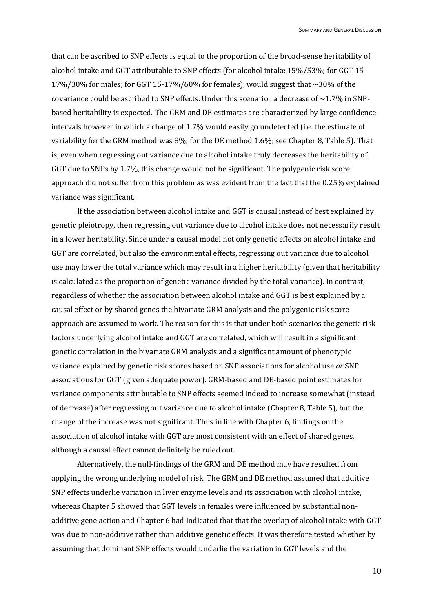that can be ascribed to SNP effects is equal to the proportion of the broad-sense heritability of alcohol intake and GGT attributable to SNP effects (for alcohol intake 15%/53%; for GGT 15- 17%/30% for males; for GGT 15-17%/60% for females), would suggest that  $\sim$ 30% of the covariance could be ascribed to SNP effects. Under this scenario, a decrease of  $\sim$  1.7% in SNPbased heritability is expected. The GRM and DE estimates are characterized by large confidence intervals however in which a change of 1.7% would easily go undetected (i.e. the estimate of variability for the GRM method was 8%; for the DE method 1.6%; see Chapter 8, Table 5). That is, even when regressing out variance due to alcohol intake truly decreases the heritability of GGT due to SNPs by 1.7%, this change would not be significant. The polygenic risk score approach did not suffer from this problem as was evident from the fact that the 0.25% explained variance was significant.

If the association between alcohol intake and GGT is causal instead of best explained by genetic pleiotropy, then regressing out variance due to alcohol intake does not necessarily result in a lower heritability. Since under a causal model not only genetic effects on alcohol intake and GGT are correlated, but also the environmental effects, regressing out variance due to alcohol use may lower the total variance which may result in a higher heritability (given that heritability is calculated as the proportion of genetic variance divided by the total variance). In contrast, regardless of whether the association between alcohol intake and GGT is best explained by a causal effect or by shared genes the bivariate GRM analysis and the polygenic risk score approach are assumed to work. The reason for this is that under both scenarios the genetic risk factors underlying alcohol intake and GGT are correlated, which will result in a significant genetic correlation in the bivariate GRM analysis and a significant amount of phenotypic variance explained by genetic risk scores based on SNP associations for alcohol use *or* SNP associations for GGT (given adequate power). GRM-based and DE-based point estimates for variance components attributable to SNP effects seemed indeed to increase somewhat (instead of decrease) after regressing out variance due to alcohol intake (Chapter 8, Table 5), but the change of the increase was not significant. Thus in line with Chapter 6, findings on the association of alcohol intake with GGT are most consistent with an effect of shared genes, although a causal effect cannot definitely be ruled out.

Alternatively, the null-findings of the GRM and DE method may have resulted from applying the wrong underlying model of risk. The GRM and DE method assumed that additive SNP effects underlie variation in liver enzyme levels and its association with alcohol intake, whereas Chapter 5 showed that GGT levels in females were influenced by substantial nonadditive gene action and Chapter 6 had indicated that that the overlap of alcohol intake with GGT was due to non-additive rather than additive genetic effects. It was therefore tested whether by assuming that dominant SNP effects would underlie the variation in GGT levels and the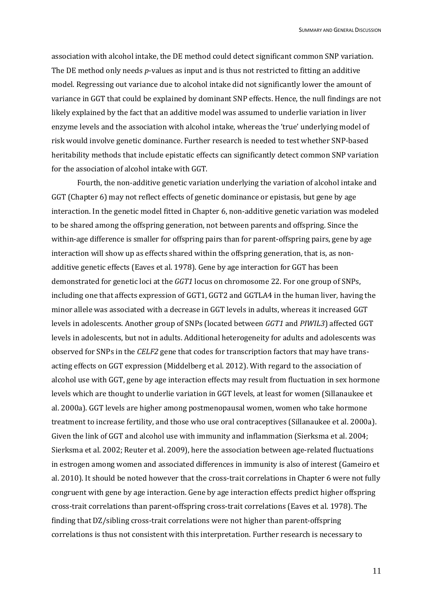association with alcohol intake, the DE method could detect significant common SNP variation. The DE method only needs *p*-values as input and is thus not restricted to fitting an additive model. Regressing out variance due to alcohol intake did not significantly lower the amount of variance in GGT that could be explained by dominant SNP effects. Hence, the null findings are not likely explained by the fact that an additive model was assumed to underlie variation in liver enzyme levels and the association with alcohol intake, whereas the 'true' underlying model of risk would involve genetic dominance. Further research is needed to test whether SNP-based heritability methods that include epistatic effects can significantly detect common SNP variation for the association of alcohol intake with GGT.

Fourth, the non-additive genetic variation underlying the variation of alcohol intake and GGT (Chapter 6) may not reflect effects of genetic dominance or epistasis, but gene by age interaction. In the genetic model fitted in Chapter 6, non-additive genetic variation was modeled to be shared among the offspring generation, not between parents and offspring. Since the within-age difference is smaller for offspring pairs than for parent-offspring pairs, gene by age interaction will show up as effects shared within the offspring generation, that is, as nonadditive genetic effects (Eaves et al. 1978). Gene by age interaction for GGT has been demonstrated for genetic loci at the *GGT1* locus on chromosome 22. For one group of SNPs, including one that affects expression of GGT1, GGT2 and GGTLA4 in the human liver, having the minor allele was associated with a decrease in GGT levels in adults, whereas it increased GGT levels in adolescents. Another group of SNPs (located between *GGT1* and *PIWIL3*) affected GGT levels in adolescents, but not in adults. Additional heterogeneity for adults and adolescents was observed for SNPs in the *CELF2* gene that codes for transcription factors that may have transacting effects on GGT expression (Middelberg et al. 2012). With regard to the association of alcohol use with GGT, gene by age interaction effects may result from fluctuation in sex hormone levels which are thought to underlie variation in GGT levels, at least for women (Sillanaukee et al. 2000a). GGT levels are higher among postmenopausal women, women who take hormone treatment to increase fertility, and those who use oral contraceptives (Sillanaukee et al. 2000a). Given the link of GGT and alcohol use with immunity and inflammation (Sierksma et al. 2004; Sierksma et al. 2002; Reuter et al. 2009), here the association between age-related fluctuations in estrogen among women and associated differences in immunity is also of interest (Gameiro et al. 2010). It should be noted however that the cross-trait correlations in Chapter 6 were not fully congruent with gene by age interaction. Gene by age interaction effects predict higher offspring cross-trait correlations than parent-offspring cross-trait correlations (Eaves et al. 1978). The finding that DZ/sibling cross-trait correlations were not higher than parent-offspring correlations is thus not consistent with this interpretation. Further research is necessary to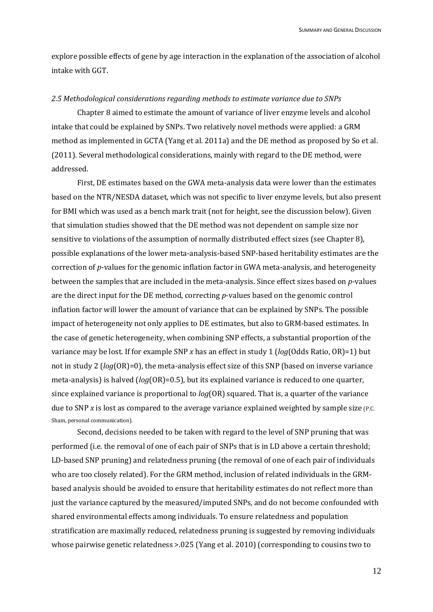explore possible effects of gene by age interaction in the explanation of the association of alcohol intake with GGT.

#### *2.5 Methodological considerations regarding methods to estimate variance due to SNPs*

Chapter 8 aimed to estimate the amount of variance of liver enzyme levels and alcohol intake that could be explained by SNPs. Two relatively novel methods were applied: a GRM method as implemented in GCTA (Yang et al. 2011a) and the DE method as proposed by So et al. (2011). Several methodological considerations, mainly with regard to the DE method, were addressed.

First, DE estimates based on the GWA meta-analysis data were lower than the estimates based on the NTR/NESDA dataset, which was not specific to liver enzyme levels, but also present for BMI which was used as a bench mark trait (not for height, see the discussion below). Given that simulation studies showed that the DE method was not dependent on sample size nor sensitive to violations of the assumption of normally distributed effect sizes (see Chapter 8), possible explanations of the lower meta-analysis-based SNP-based heritability estimates are the correction of *p*-values for the genomic inflation factor in GWA meta-analysis, and heterogeneity between the samples that are included in the meta-analysis. Since effect sizes based on *p*-values are the direct input for the DE method, correcting *p*-values based on the genomic control inflation factor will lower the amount of variance that can be explained by SNPs. The possible impact of heterogeneity not only applies to DE estimates, but also to GRM-based estimates. In the case of genetic heterogeneity, when combining SNP effects, a substantial proportion of the variance may be lost. If for example SNP *x* has an effect in study 1 (*log*(Odds Ratio, OR)=1) but not in study 2 (*log*(OR)=0), the meta-analysis effect size of this SNP (based on inverse variance meta-analysis) is halved (*log*(OR)=0.5), but its explained variance is reduced to one quarter, since explained variance is proportional to *log*(OR) squared. That is, a quarter of the variance due to SNP *x* is lost as compared to the average variance explained weighted by sample size (P.C. Sham, personal communication).

Second, decisions needed to be taken with regard to the level of SNP pruning that was performed (i.e. the removal of one of each pair of SNPs that is in LD above a certain threshold; LD-based SNP pruning) and relatedness pruning (the removal of one of each pair of individuals who are too closely related). For the GRM method, inclusion of related individuals in the GRMbased analysis should be avoided to ensure that heritability estimates do not reflect more than just the variance captured by the measured/imputed SNPs, and do not become confounded with shared environmental effects among individuals. To ensure relatedness and population stratification are maximally reduced, relatedness pruning is suggested by removing individuals whose pairwise genetic relatedness >.025 (Yang et al. 2010) (corresponding to cousins two to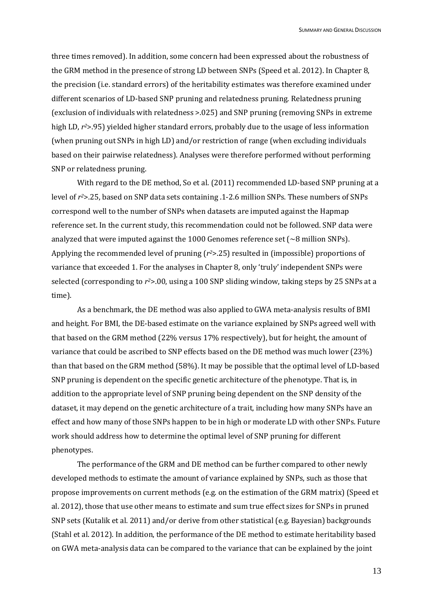three times removed). In addition, some concern had been expressed about the robustness of the GRM method in the presence of strong LD between SNPs (Speed et al. 2012). In Chapter 8, the precision (i.e. standard errors) of the heritability estimates was therefore examined under different scenarios of LD-based SNP pruning and relatedness pruning. Relatedness pruning (exclusion of individuals with relatedness >.025) and SNP pruning (removing SNPs in extreme high LD, *r2*>.95) yielded higher standard errors, probably due to the usage of less information (when pruning out SNPs in high LD) and/or restriction of range (when excluding individuals based on their pairwise relatedness). Analyses were therefore performed without performing SNP or relatedness pruning.

With regard to the DE method, So et al. (2011) recommended LD-based SNP pruning at a level of *r2*>.25, based on SNP data sets containing .1-2.6 million SNPs. These numbers of SNPs correspond well to the number of SNPs when datasets are imputed against the Hapmap reference set. In the current study, this recommendation could not be followed. SNP data were analyzed that were imputed against the 1000 Genomes reference set ( $\sim$ 8 million SNPs). Applying the recommended level of pruning (*r2*>.25) resulted in (impossible) proportions of variance that exceeded 1. For the analyses in Chapter 8, only 'truly' independent SNPs were selected (corresponding to *r2*>.00, using a 100 SNP sliding window, taking steps by 25 SNPs at a time).

As a benchmark, the DE method was also applied to GWA meta-analysis results of BMI and height. For BMI, the DE-based estimate on the variance explained by SNPs agreed well with that based on the GRM method (22% versus 17% respectively), but for height, the amount of variance that could be ascribed to SNP effects based on the DE method was much lower (23%) than that based on the GRM method (58%). It may be possible that the optimal level of LD-based SNP pruning is dependent on the specific genetic architecture of the phenotype. That is, in addition to the appropriate level of SNP pruning being dependent on the SNP density of the dataset, it may depend on the genetic architecture of a trait, including how many SNPs have an effect and how many of those SNPs happen to be in high or moderate LD with other SNPs. Future work should address how to determine the optimal level of SNP pruning for different phenotypes.

The performance of the GRM and DE method can be further compared to other newly developed methods to estimate the amount of variance explained by SNPs, such as those that propose improvements on current methods (e.g. on the estimation of the GRM matrix) (Speed et al. 2012), those that use other means to estimate and sum true effect sizes for SNPs in pruned SNP sets (Kutalik et al. 2011) and/or derive from other statistical (e.g. Bayesian) backgrounds (Stahl et al. 2012). In addition, the performance of the DE method to estimate heritability based on GWA meta-analysis data can be compared to the variance that can be explained by the joint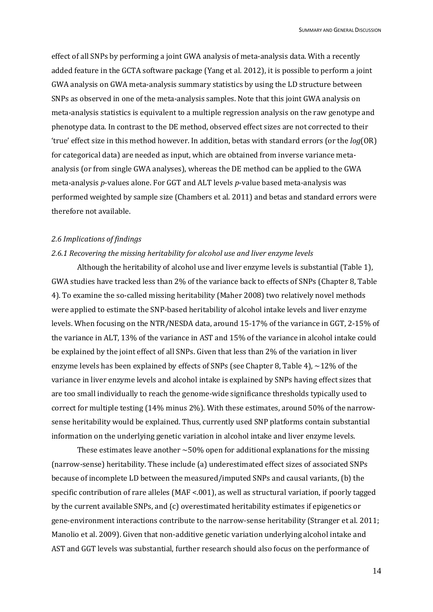effect of all SNPs by performing a joint GWA analysis of meta-analysis data. With a recently added feature in the GCTA software package (Yang et al. 2012), it is possible to perform a joint GWA analysis on GWA meta-analysis summary statistics by using the LD structure between SNPs as observed in one of the meta-analysis samples. Note that this joint GWA analysis on meta-analysis statistics is equivalent to a multiple regression analysis on the raw genotype and phenotype data. In contrast to the DE method, observed effect sizes are not corrected to their 'true' effect size in this method however. In addition, betas with standard errors (or the *log*(OR) for categorical data) are needed as input, which are obtained from inverse variance metaanalysis (or from single GWA analyses), whereas the DE method can be applied to the GWA meta-analysis *p*-values alone. For GGT and ALT levels *p*-value based meta-analysis was performed weighted by sample size (Chambers et al. 2011) and betas and standard errors were therefore not available.

## *2.6 Implications of findings*

# *2.6.1 Recovering the missing heritability for alcohol use and liver enzyme levels*

Although the heritability of alcohol use and liver enzyme levels is substantial (Table 1), GWA studies have tracked less than 2% of the variance back to effects of SNPs (Chapter 8, Table 4). To examine the so-called missing heritability (Maher 2008) two relatively novel methods were applied to estimate the SNP-based heritability of alcohol intake levels and liver enzyme levels. When focusing on the NTR/NESDA data, around 15-17% of the variance in GGT, 2-15% of the variance in ALT, 13% of the variance in AST and 15% of the variance in alcohol intake could be explained by the joint effect of all SNPs. Given that less than 2% of the variation in liver enzyme levels has been explained by effects of SNPs (see Chapter 8, Table 4),  $\sim$ 12% of the variance in liver enzyme levels and alcohol intake is explained by SNPs having effect sizes that are too small individually to reach the genome-wide significance thresholds typically used to correct for multiple testing (14% minus 2%). With these estimates, around 50% of the narrowsense heritability would be explained. Thus, currently used SNP platforms contain substantial information on the underlying genetic variation in alcohol intake and liver enzyme levels.

These estimates leave another  $\sim$  50% open for additional explanations for the missing (narrow-sense) heritability. These include (a) underestimated effect sizes of associated SNPs because of incomplete LD between the measured/imputed SNPs and causal variants, (b) the specific contribution of rare alleles (MAF <.001), as well as structural variation, if poorly tagged by the current available SNPs, and (c) overestimated heritability estimates if epigenetics or gene-environment interactions contribute to the narrow-sense heritability (Stranger et al. 2011; Manolio et al. 2009). Given that non-additive genetic variation underlying alcohol intake and AST and GGT levels was substantial, further research should also focus on the performance of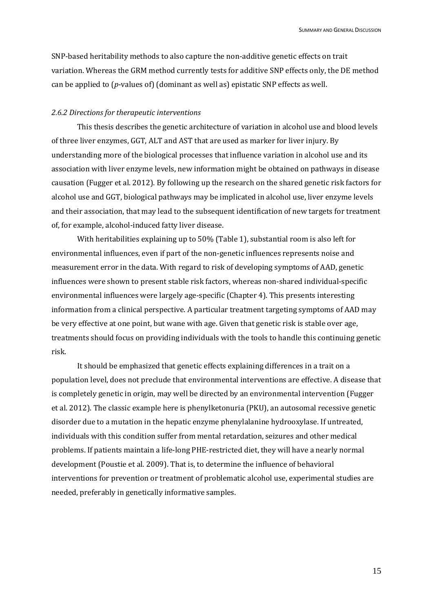SNP-based heritability methods to also capture the non-additive genetic effects on trait variation. Whereas the GRM method currently tests for additive SNP effects only, the DE method can be applied to (*p*-values of) (dominant as well as) epistatic SNP effects as well.

## *2.6.2 Directions for therapeutic interventions*

This thesis describes the genetic architecture of variation in alcohol use and blood levels of three liver enzymes, GGT, ALT and AST that are used as marker for liver injury. By understanding more of the biological processes that influence variation in alcohol use and its association with liver enzyme levels, new information might be obtained on pathways in disease causation (Fugger et al. 2012). By following up the research on the shared genetic risk factors for alcohol use and GGT, biological pathways may be implicated in alcohol use, liver enzyme levels and their association, that may lead to the subsequent identification of new targets for treatment of, for example, alcohol-induced fatty liver disease.

With heritabilities explaining up to 50% (Table 1), substantial room is also left for environmental influences, even if part of the non-genetic influences represents noise and measurement error in the data. With regard to risk of developing symptoms of AAD, genetic influences were shown to present stable risk factors, whereas non-shared individual-specific environmental influences were largely age-specific (Chapter 4). This presents interesting information from a clinical perspective. A particular treatment targeting symptoms of AAD may be very effective at one point, but wane with age. Given that genetic risk is stable over age, treatments should focus on providing individuals with the tools to handle this continuing genetic risk.

It should be emphasized that genetic effects explaining differences in a trait on a population level, does not preclude that environmental interventions are effective. A disease that is completely genetic in origin, may well be directed by an environmental intervention (Fugger et al. 2012). The classic example here is phenylketonuria (PKU), an autosomal recessive genetic disorder due to a mutation in the hepatic enzyme phenylalanine hydrooxylase. If untreated, individuals with this condition suffer from mental retardation, seizures and other medical problems. If patients maintain a life-long PHE-restricted diet, they will have a nearly normal development (Poustie et al. 2009). That is, to determine the influence of behavioral interventions for prevention or treatment of problematic alcohol use, experimental studies are needed, preferably in genetically informative samples.

15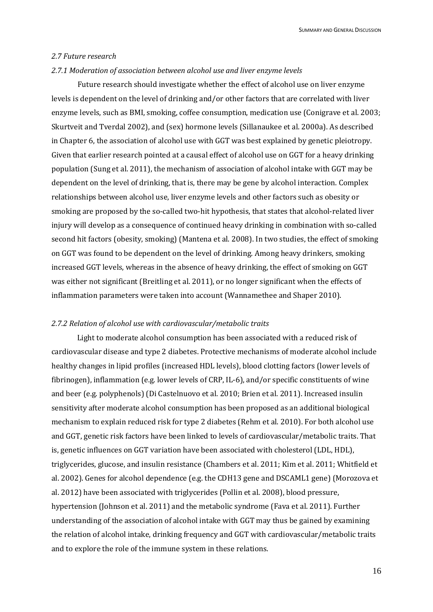## *2.7 Future research*

#### *2.7.1 Moderation of association between alcohol use and liver enzyme levels*

Future research should investigate whether the effect of alcohol use on liver enzyme levels is dependent on the level of drinking and/or other factors that are correlated with liver enzyme levels, such as BMI, smoking, coffee consumption, medication use (Conigrave et al. 2003; Skurtveit and Tverdal 2002), and (sex) hormone levels (Sillanaukee et al. 2000a). As described in Chapter 6, the association of alcohol use with GGT was best explained by genetic pleiotropy. Given that earlier research pointed at a causal effect of alcohol use on GGT for a heavy drinking population (Sung et al. 2011), the mechanism of association of alcohol intake with GGT may be dependent on the level of drinking, that is, there may be gene by alcohol interaction. Complex relationships between alcohol use, liver enzyme levels and other factors such as obesity or smoking are proposed by the so-called two-hit hypothesis, that states that alcohol-related liver injury will develop as a consequence of continued heavy drinking in combination with so-called second hit factors (obesity, smoking) (Mantena et al. 2008). In two studies, the effect of smoking on GGT was found to be dependent on the level of drinking. Among heavy drinkers, smoking increased GGT levels, whereas in the absence of heavy drinking, the effect of smoking on GGT was either not significant (Breitling et al. 2011), or no longer significant when the effects of inflammation parameters were taken into account (Wannamethee and Shaper 2010).

# *2.7.2 Relation of alcohol use with cardiovascular/metabolic traits*

Light to moderate alcohol consumption has been associated with a reduced risk of cardiovascular disease and type 2 diabetes. Protective mechanisms of moderate alcohol include healthy changes in lipid profiles (increased HDL levels), blood clotting factors (lower levels of fibrinogen), inflammation (e.g. lower levels of CRP, IL-6), and/or specific constituents of wine and beer (e.g. polyphenols) (Di Castelnuovo et al. 2010; Brien et al. 2011). Increased insulin sensitivity after moderate alcohol consumption has been proposed as an additional biological mechanism to explain reduced risk for type 2 diabetes (Rehm et al. 2010). For both alcohol use and GGT, genetic risk factors have been linked to levels of cardiovascular/metabolic traits. That is, genetic influences on GGT variation have been associated with cholesterol (LDL, HDL), triglycerides, glucose, and insulin resistance (Chambers et al. 2011; Kim et al. 2011; Whitfield et al. 2002). Genes for alcohol dependence (e.g. the CDH13 gene and DSCAML1 gene) (Morozova et al. 2012) have been associated with triglycerides (Pollin et al. 2008), blood pressure, hypertension (Johnson et al. 2011) and the metabolic syndrome (Fava et al. 2011). Further understanding of the association of alcohol intake with GGT may thus be gained by examining the relation of alcohol intake, drinking frequency and GGT with cardiovascular/metabolic traits and to explore the role of the immune system in these relations.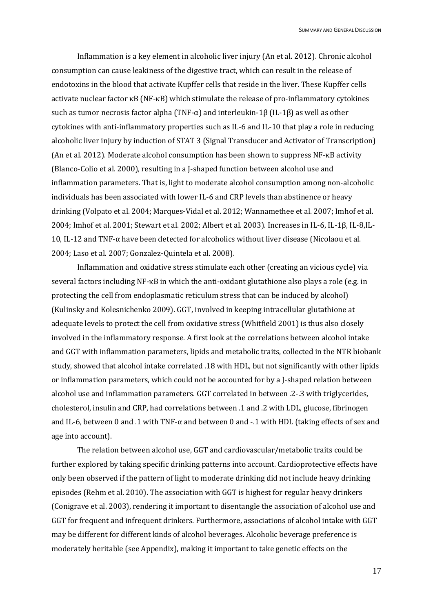Inflammation is a key element in alcoholic liver injury (An et al. 2012). Chronic alcohol consumption can cause leakiness of the digestive tract, which can result in the release of endotoxins in the blood that activate Kupffer cells that reside in the liver. These Kupffer cells activate nuclear factor κB (NF-κB) which stimulate the release of pro-inflammatory cytokines such as tumor necrosis factor alpha (TNF-α) and interleukin-1β (IL-1β) as well as other cytokines with anti-inflammatory properties such as IL-6 and IL-10 that play a role in reducing alcoholic liver injury by induction of STAT 3 (Signal Transducer and Activator of Transcription) (An et al. 2012). Moderate alcohol consumption has been shown to suppress NF-κB activity (Blanco-Colio et al. 2000), resulting in a J-shaped function between alcohol use and inflammation parameters. That is, light to moderate alcohol consumption among non-alcoholic individuals has been associated with lower IL-6 and CRP levels than abstinence or heavy drinking (Volpato et al. 2004; Marques-Vidal et al. 2012; Wannamethee et al. 2007; Imhof et al. 2004; Imhof et al. 2001; Stewart et al. 2002; Albert et al. 2003). Increases in IL-6, IL-1β, IL-8,IL-10, IL-12 and TNF-α have been detected for alcoholics without liver disease (Nicolaou et al. 2004; Laso et al. 2007; Gonzalez-Quintela et al. 2008).

Inflammation and oxidative stress stimulate each other (creating an vicious cycle) via several factors including NF-κB in which the anti-oxidant glutathione also plays a role (e.g. in protecting the cell from endoplasmatic reticulum stress that can be induced by alcohol) (Kulinsky and Kolesnichenko 2009). GGT, involved in keeping intracellular glutathione at adequate levels to protect the cell from oxidative stress (Whitfield 2001) is thus also closely involved in the inflammatory response. A first look at the correlations between alcohol intake and GGT with inflammation parameters, lipids and metabolic traits, collected in the NTR biobank study, showed that alcohol intake correlated .18 with HDL, but not significantly with other lipids or inflammation parameters, which could not be accounted for by a J-shaped relation between alcohol use and inflammation parameters. GGT correlated in between .2-.3 with triglycerides, cholesterol, insulin and CRP, had correlations between .1 and .2 with LDL, glucose, fibrinogen and IL-6, between 0 and .1 with TNF- $\alpha$  and between 0 and -.1 with HDL (taking effects of sex and age into account).

The relation between alcohol use, GGT and cardiovascular/metabolic traits could be further explored by taking specific drinking patterns into account. Cardioprotective effects have only been observed if the pattern of light to moderate drinking did not include heavy drinking episodes (Rehm et al. 2010). The association with GGT is highest for regular heavy drinkers (Conigrave et al. 2003), rendering it important to disentangle the association of alcohol use and GGT for frequent and infrequent drinkers. Furthermore, associations of alcohol intake with GGT may be different for different kinds of alcohol beverages. Alcoholic beverage preference is moderately heritable (see Appendix), making it important to take genetic effects on the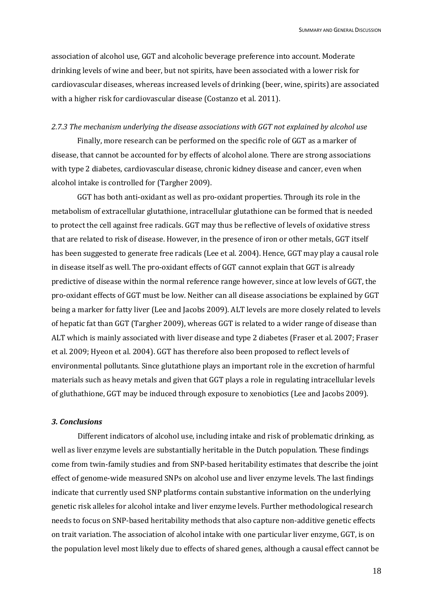association of alcohol use, GGT and alcoholic beverage preference into account. Moderate drinking levels of wine and beer, but not spirits, have been associated with a lower risk for cardiovascular diseases, whereas increased levels of drinking (beer, wine, spirits) are associated with a higher risk for cardiovascular disease (Costanzo et al. 2011).

#### *2.7.3 The mechanism underlying the disease associations with GGT not explained by alcohol use*

Finally, more research can be performed on the specific role of GGT as a marker of disease, that cannot be accounted for by effects of alcohol alone. There are strong associations with type 2 diabetes, cardiovascular disease, chronic kidney disease and cancer, even when alcohol intake is controlled for (Targher 2009).

GGT has both anti-oxidant as well as pro-oxidant properties. Through its role in the metabolism of extracellular glutathione, intracellular glutathione can be formed that is needed to protect the cell against free radicals. GGT may thus be reflective of levels of oxidative stress that are related to risk of disease. However, in the presence of iron or other metals, GGT itself has been suggested to generate free radicals (Lee et al. 2004). Hence, GGT may play a causal role in disease itself as well. The pro-oxidant effects of GGT cannot explain that GGT is already predictive of disease within the normal reference range however, since at low levels of GGT, the pro-oxidant effects of GGT must be low. Neither can all disease associations be explained by GGT being a marker for fatty liver (Lee and Jacobs 2009). ALT levels are more closely related to levels of hepatic fat than GGT (Targher 2009), whereas GGT is related to a wider range of disease than ALT which is mainly associated with liver disease and type 2 diabetes (Fraser et al. 2007; Fraser et al. 2009; Hyeon et al. 2004). GGT has therefore also been proposed to reflect levels of environmental pollutants. Since glutathione plays an important role in the excretion of harmful materials such as heavy metals and given that GGT plays a role in regulating intracellular levels of gluthathione, GGT may be induced through exposure to xenobiotics (Lee and Jacobs 2009).

# *3. Conclusions*

Different indicators of alcohol use, including intake and risk of problematic drinking, as well as liver enzyme levels are substantially heritable in the Dutch population. These findings come from twin-family studies and from SNP-based heritability estimates that describe the joint effect of genome-wide measured SNPs on alcohol use and liver enzyme levels. The last findings indicate that currently used SNP platforms contain substantive information on the underlying genetic risk alleles for alcohol intake and liver enzyme levels. Further methodological research needs to focus on SNP-based heritability methods that also capture non-additive genetic effects on trait variation. The association of alcohol intake with one particular liver enzyme, GGT, is on the population level most likely due to effects of shared genes, although a causal effect cannot be